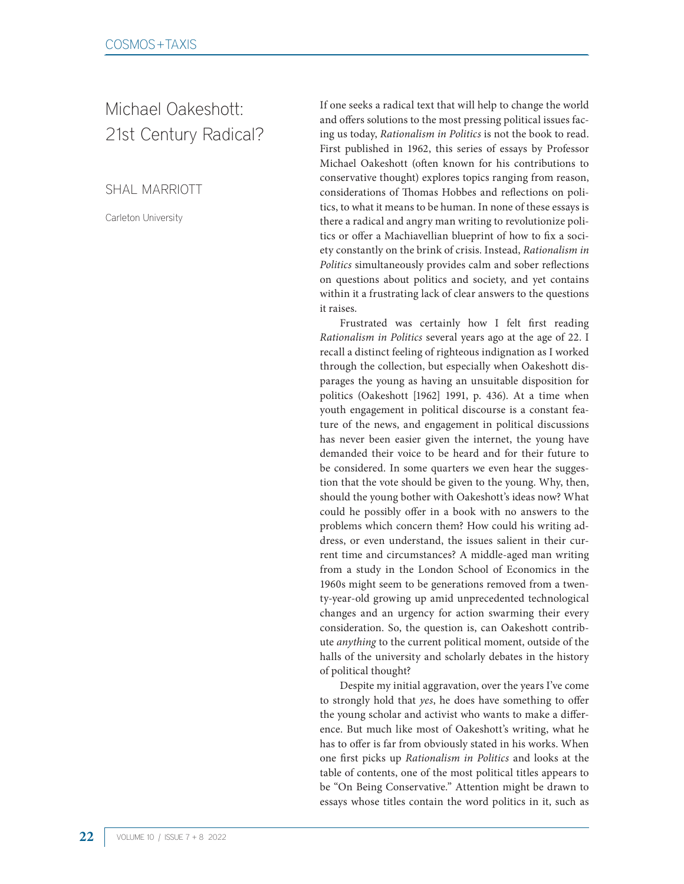## Michael Oakeshott: 21st Century Radical?

SHAL MARRIOTT

Carleton University

If one seeks a radical text that will help to change the world and offers solutions to the most pressing political issues facing us today, *Rationalism in Politics* is not the book to read. First published in 1962, this series of essays by Professor Michael Oakeshott (often known for his contributions to conservative thought) explores topics ranging from reason, considerations of Thomas Hobbes and reflections on politics, to what it means to be human. In none of these essays is there a radical and angry man writing to revolutionize politics or offer a Machiavellian blueprint of how to fix a society constantly on the brink of crisis. Instead, *Rationalism in Politics* simultaneously provides calm and sober reflections on questions about politics and society, and yet contains within it a frustrating lack of clear answers to the questions it raises.

Frustrated was certainly how I felt first reading *Rationalism in Politics* several years ago at the age of 22. I recall a distinct feeling of righteous indignation as I worked through the collection, but especially when Oakeshott disparages the young as having an unsuitable disposition for politics (Oakeshott [1962] 1991, p. 436). At a time when youth engagement in political discourse is a constant feature of the news, and engagement in political discussions has never been easier given the internet, the young have demanded their voice to be heard and for their future to be considered. In some quarters we even hear the suggestion that the vote should be given to the young. Why, then, should the young bother with Oakeshott's ideas now? What could he possibly offer in a book with no answers to the problems which concern them? How could his writing address, or even understand, the issues salient in their current time and circumstances? A middle-aged man writing from a study in the London School of Economics in the 1960s might seem to be generations removed from a twenty-year-old growing up amid unprecedented technological changes and an urgency for action swarming their every consideration. So, the question is, can Oakeshott contribute *anything* to the current political moment, outside of the halls of the university and scholarly debates in the history of political thought?

Despite my initial aggravation, over the years I've come to strongly hold that *yes*, he does have something to offer the young scholar and activist who wants to make a difference. But much like most of Oakeshott's writing, what he has to offer is far from obviously stated in his works. When one first picks up *Rationalism in Politics* and looks at the table of contents, one of the most political titles appears to be "On Being Conservative." Attention might be drawn to essays whose titles contain the word politics in it, such as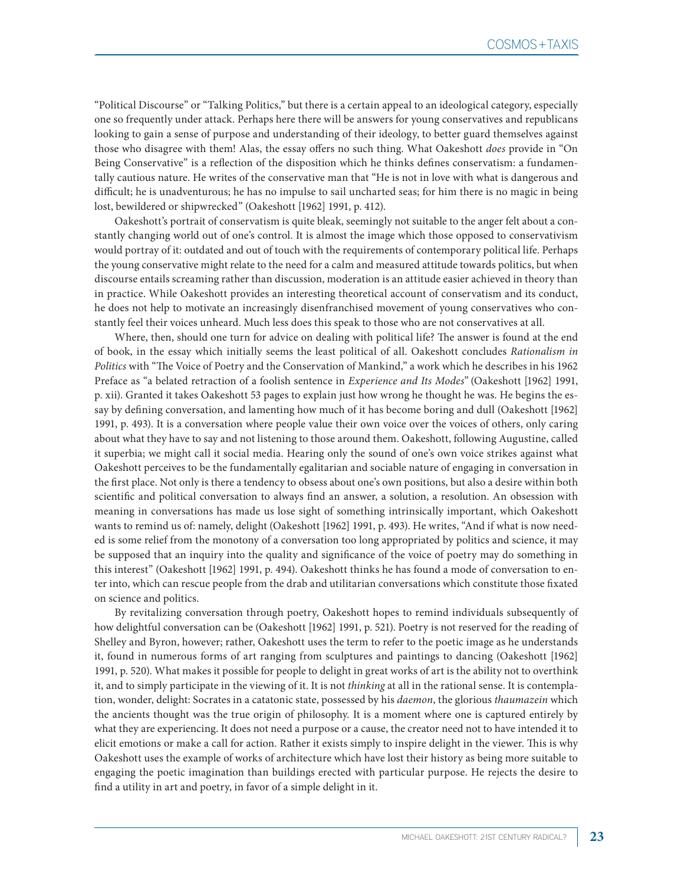"Political Discourse" or "Talking Politics," but there is a certain appeal to an ideological category, especially one so frequently under attack. Perhaps here there will be answers for young conservatives and republicans looking to gain a sense of purpose and understanding of their ideology, to better guard themselves against those who disagree with them! Alas, the essay offers no such thing. What Oakeshott *does* provide in "On Being Conservative" is a reflection of the disposition which he thinks defines conservatism: a fundamentally cautious nature. He writes of the conservative man that "He is not in love with what is dangerous and difficult; he is unadventurous; he has no impulse to sail uncharted seas; for him there is no magic in being lost, bewildered or shipwrecked" (Oakeshott [1962] 1991, p. 412).

Oakeshott's portrait of conservatism is quite bleak, seemingly not suitable to the anger felt about a constantly changing world out of one's control. It is almost the image which those opposed to conservativism would portray of it: outdated and out of touch with the requirements of contemporary political life. Perhaps the young conservative might relate to the need for a calm and measured attitude towards politics, but when discourse entails screaming rather than discussion, moderation is an attitude easier achieved in theory than in practice. While Oakeshott provides an interesting theoretical account of conservatism and its conduct, he does not help to motivate an increasingly disenfranchised movement of young conservatives who constantly feel their voices unheard. Much less does this speak to those who are not conservatives at all.

Where, then, should one turn for advice on dealing with political life? The answer is found at the end of book, in the essay which initially seems the least political of all. Oakeshott concludes *Rationalism in Politics* with "The Voice of Poetry and the Conservation of Mankind," a work which he describes in his 1962 Preface as "a belated retraction of a foolish sentence in *Experience and Its Modes*" (Oakeshott [1962] 1991, p. xii). Granted it takes Oakeshott 53 pages to explain just how wrong he thought he was. He begins the essay by defining conversation, and lamenting how much of it has become boring and dull (Oakeshott [1962] 1991, p. 493). It is a conversation where people value their own voice over the voices of others, only caring about what they have to say and not listening to those around them. Oakeshott, following Augustine, called it superbia; we might call it social media. Hearing only the sound of one's own voice strikes against what Oakeshott perceives to be the fundamentally egalitarian and sociable nature of engaging in conversation in the first place. Not only is there a tendency to obsess about one's own positions, but also a desire within both scientific and political conversation to always find an answer, a solution, a resolution. An obsession with meaning in conversations has made us lose sight of something intrinsically important, which Oakeshott wants to remind us of: namely, delight (Oakeshott [1962] 1991, p. 493). He writes, "And if what is now needed is some relief from the monotony of a conversation too long appropriated by politics and science, it may be supposed that an inquiry into the quality and significance of the voice of poetry may do something in this interest" (Oakeshott [1962] 1991, p. 494). Oakeshott thinks he has found a mode of conversation to enter into, which can rescue people from the drab and utilitarian conversations which constitute those fixated on science and politics.

By revitalizing conversation through poetry, Oakeshott hopes to remind individuals subsequently of how delightful conversation can be (Oakeshott [1962] 1991, p. 521). Poetry is not reserved for the reading of Shelley and Byron, however; rather, Oakeshott uses the term to refer to the poetic image as he understands it, found in numerous forms of art ranging from sculptures and paintings to dancing (Oakeshott [1962] 1991, p. 520). What makes it possible for people to delight in great works of art is the ability not to overthink it, and to simply participate in the viewing of it. It is not *thinking* at all in the rational sense. It is contemplation, wonder, delight: Socrates in a catatonic state, possessed by his *daemon*, the glorious *thaumazein* which the ancients thought was the true origin of philosophy. It is a moment where one is captured entirely by what they are experiencing. It does not need a purpose or a cause, the creator need not to have intended it to elicit emotions or make a call for action. Rather it exists simply to inspire delight in the viewer. This is why Oakeshott uses the example of works of architecture which have lost their history as being more suitable to engaging the poetic imagination than buildings erected with particular purpose. He rejects the desire to find a utility in art and poetry, in favor of a simple delight in it.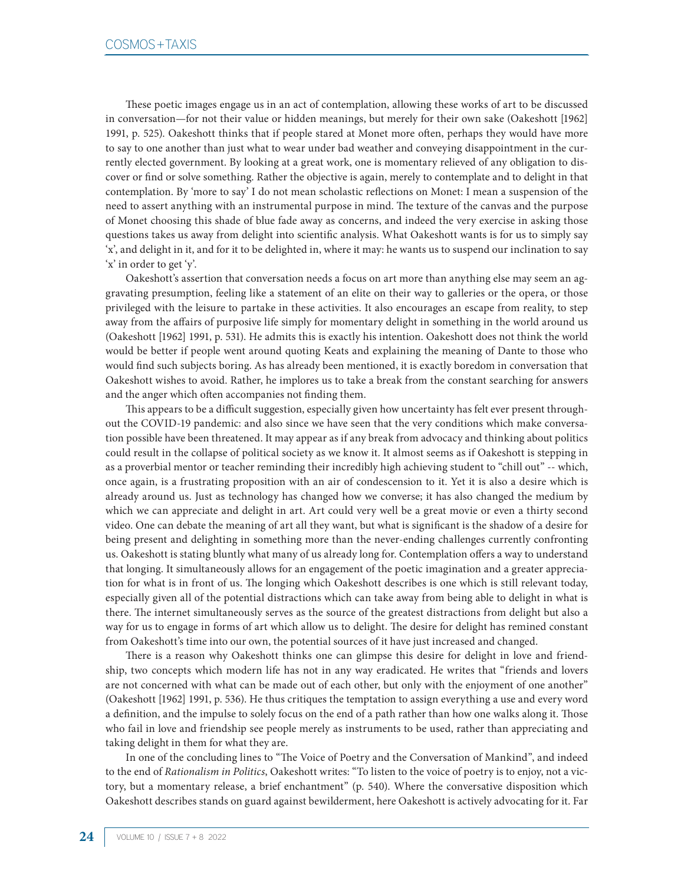These poetic images engage us in an act of contemplation, allowing these works of art to be discussed in conversation—for not their value or hidden meanings, but merely for their own sake (Oakeshott [1962] 1991, p. 525). Oakeshott thinks that if people stared at Monet more often, perhaps they would have more to say to one another than just what to wear under bad weather and conveying disappointment in the currently elected government. By looking at a great work, one is momentary relieved of any obligation to discover or find or solve something. Rather the objective is again, merely to contemplate and to delight in that contemplation. By 'more to say' I do not mean scholastic reflections on Monet: I mean a suspension of the need to assert anything with an instrumental purpose in mind. The texture of the canvas and the purpose of Monet choosing this shade of blue fade away as concerns, and indeed the very exercise in asking those questions takes us away from delight into scientific analysis. What Oakeshott wants is for us to simply say 'x', and delight in it, and for it to be delighted in, where it may: he wants us to suspend our inclination to say 'x' in order to get 'y'.

Oakeshott's assertion that conversation needs a focus on art more than anything else may seem an aggravating presumption, feeling like a statement of an elite on their way to galleries or the opera, or those privileged with the leisure to partake in these activities. It also encourages an escape from reality, to step away from the affairs of purposive life simply for momentary delight in something in the world around us (Oakeshott [1962] 1991, p. 531). He admits this is exactly his intention. Oakeshott does not think the world would be better if people went around quoting Keats and explaining the meaning of Dante to those who would find such subjects boring. As has already been mentioned, it is exactly boredom in conversation that Oakeshott wishes to avoid. Rather, he implores us to take a break from the constant searching for answers and the anger which often accompanies not finding them.

This appears to be a difficult suggestion, especially given how uncertainty has felt ever present throughout the COVID-19 pandemic: and also since we have seen that the very conditions which make conversation possible have been threatened. It may appear as if any break from advocacy and thinking about politics could result in the collapse of political society as we know it. It almost seems as if Oakeshott is stepping in as a proverbial mentor or teacher reminding their incredibly high achieving student to "chill out" -- which, once again, is a frustrating proposition with an air of condescension to it. Yet it is also a desire which is already around us. Just as technology has changed how we converse; it has also changed the medium by which we can appreciate and delight in art. Art could very well be a great movie or even a thirty second video. One can debate the meaning of art all they want, but what is significant is the shadow of a desire for being present and delighting in something more than the never-ending challenges currently confronting us. Oakeshott is stating bluntly what many of us already long for. Contemplation offers a way to understand that longing. It simultaneously allows for an engagement of the poetic imagination and a greater appreciation for what is in front of us. The longing which Oakeshott describes is one which is still relevant today, especially given all of the potential distractions which can take away from being able to delight in what is there. The internet simultaneously serves as the source of the greatest distractions from delight but also a way for us to engage in forms of art which allow us to delight. The desire for delight has remined constant from Oakeshott's time into our own, the potential sources of it have just increased and changed.

There is a reason why Oakeshott thinks one can glimpse this desire for delight in love and friendship, two concepts which modern life has not in any way eradicated. He writes that "friends and lovers are not concerned with what can be made out of each other, but only with the enjoyment of one another" (Oakeshott [1962] 1991, p. 536). He thus critiques the temptation to assign everything a use and every word a definition, and the impulse to solely focus on the end of a path rather than how one walks along it. Those who fail in love and friendship see people merely as instruments to be used, rather than appreciating and taking delight in them for what they are.

In one of the concluding lines to "The Voice of Poetry and the Conversation of Mankind", and indeed to the end of *Rationalism in Politics*, Oakeshott writes: "To listen to the voice of poetry is to enjoy, not a victory, but a momentary release, a brief enchantment" (p. 540). Where the conversative disposition which Oakeshott describes stands on guard against bewilderment, here Oakeshott is actively advocating for it. Far